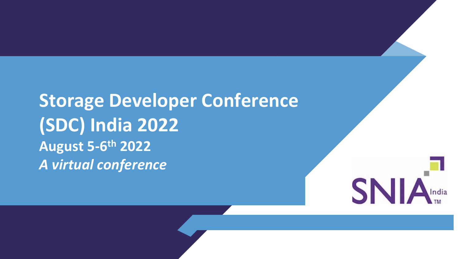**Storage Developer Conference (SDC) India 2022 August 5-6th 2022** *A virtual conference*

**SN**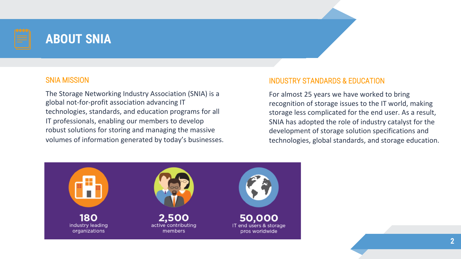

## **ABOUT SNIA**

#### SNIA MISSION

The Storage Networking Industry Association (SNIA) is a global not-for-profit association advancing IT technologies, standards, and education programs for all IT professionals, enabling our members to develop robust solutions for storing and managing the massive volumes of information generated by today's businesses.

#### INDUSTRY STANDARDS & EDUCATION

For almost 25 years we have worked to bring recognition of storage issues to the IT world, making storage less complicated for the end user. As a result, SNIA has adopted the role of industry catalyst for the development of storage solution specifications and technologies, global standards, and storage education.

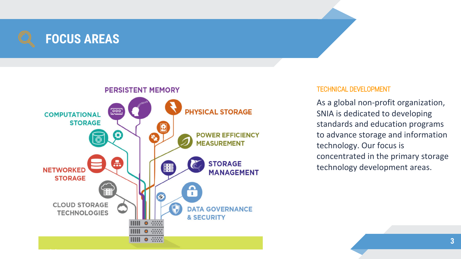



#### TECHNICAL DEVELOPMENT

As a global non-profit organization, SNIA is dedicated to developing standards and education programs to advance storage and information technology. Our focus is concentrated in the primary storage technology development areas.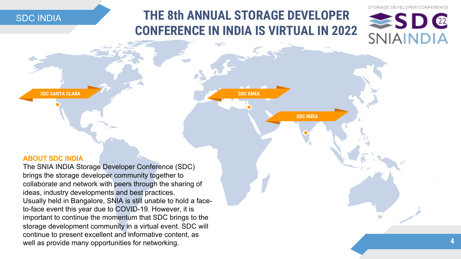SDC INDIA

## **THE 8th ANNUAL STORAGE DEVELOPER CONFERENCE IN INDIA IS VIRTUAL IN 2022**

**SDC EMEA**

**SDC INDIA**





**SDC SANTA CLARA**

#### **ABOUT SDC INDIA**

The SNIA INDIA Storage Developer Conference (SDC) brings the storage developer community together to collaborate and network with peers through the sharing of ideas, industry developments and best practices. Usually held in Bangalore, SNIA is still unable to hold a faceto-face event this year due to COVID-19. However, it is important to continue the momentum that SDC brings to the storage development community in a virtual event. SDC will continue to present excellent and informative content, as well as provide many opportunities for networking.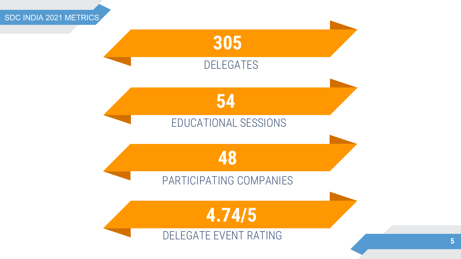

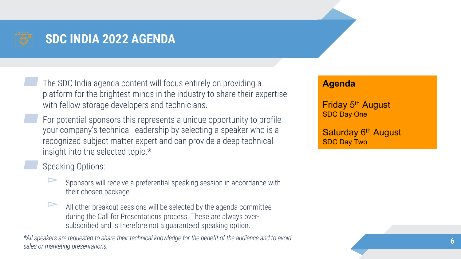

## **SDC INDIA 2022 AGENDA**

▰ The SDC India agenda content will focus entirely on providing a platform for the brightest minds in the industry to share their expertise with fellow storage developers and technicians.

For potential sponsors this represents a unique opportunity to profile your company's technical leadership by selecting a speaker who is a recognized subject matter expert and can provide a deep technical insight into the selected topic.\*

Speaking Options:

- ▻ Sponsors will receive a preferential speaking session in accordance with their chosen package.
- All other breakout sessions will be selected by the agenda committee during the Call for Presentations process. These are always oversubscribed and is therefore not a guaranteed speaking option.

*\*All speakers are requested to share their technical knowledge for the benefit of the audience and to avoid sales or marketing presentations.* **<sup>6</sup>**

#### **Agenda**

Friday 5th August SDC Day One

Saturday 6<sup>th</sup> August SDC Day Two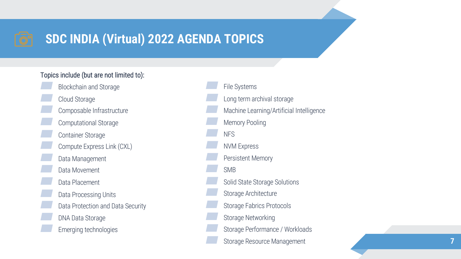## **SDC INDIA (Virtual) 2022 AGENDA TOPICS**

#### Topics include (but are not limited to):

Blockchain and Storage<br>
Cloud Storage<br>
Composable Infrastructure<br>
Computational Storage<br>
Container Storage<br>
Compute Express Link (CXL)<br>
Data Management<br>
Data Movement<br>
Data Placement<br>
Data Processing Units<br>
Data Processing

File Systems<br>
Long term archival storage<br>
Machine Learning/Artificial Intelligence<br>
Memory Pooling<br>
NFS<br>
NVM Express<br>
Persistent Memory<br>
SMB<br>
Solid State Storage Solutions<br>
Storage Architecture<br>
Storage Fabrics Protocols<br>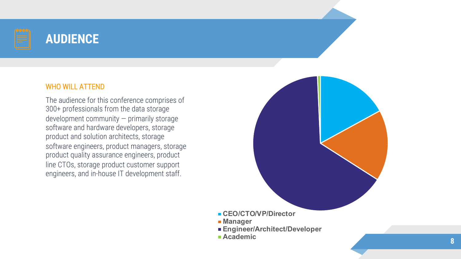

## **AUDIENCE**

#### WHO WILL ATTEND

The audience for this conference comprises of 300+ professionals from the data storage development community — primarily storage software and hardware developers, storage product and solution architects, storage software engineers, product managers, storage product quality assurance engineers, product line CTOs, storage product customer support engineers, and in-house IT development staff.



- **CEO/CTO/VP/Director**
- **Manager**
- **Engineer/Architect/Developer**
- **Academic**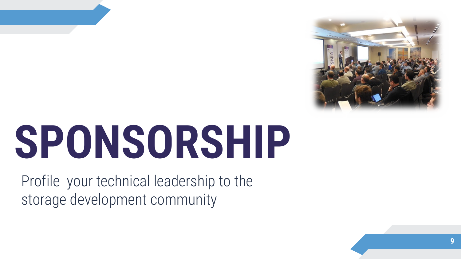

# **SPONSORSHIP**

Profile your technical leadership to the storage development community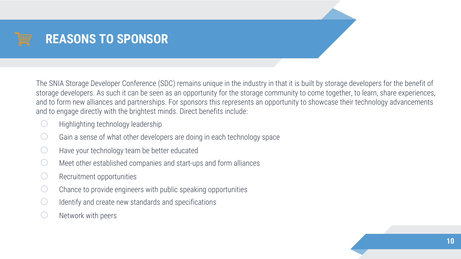The SNIA Storage Developer Conference (SDC) remains unique in the industry in that it is built by storage developers for the benefit of storage developers. As such it can be seen as an opportunity for the storage community to come together, to learn, share experiences, and to form new alliances and partnerships. For sponsors this represents an opportunity to showcase their technology advancements and to engage directly with the brightest minds. Direct benefits include:

- Highlighting technology leadership
- Gain a sense of what other developers are doing in each technology space
- $\bigcirc$  Have your technology team be better educated
- $\bigcirc$  Meet other established companies and start-ups and form alliances
- $\bigcirc$  Recruitment opportunities
- $\bigcirc$  Chance to provide engineers with public speaking opportunities
- Identify and create new standards and specifications
- Network with peers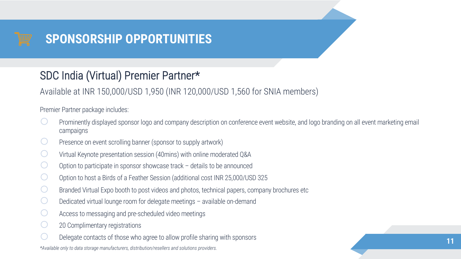

## SDC India (Virtual) Premier Partner\*

Available at INR 150,000/USD 1,950 (INR 120,000/USD 1,560 for SNIA members)

Premier Partner package includes:

- Prominently displayed sponsor logo and company description on conference event website, and logo branding on all event marketing email campaigns
- Presence on event scrolling banner (sponsor to supply artwork)
- Virtual Keynote presentation session (40mins) with online moderated Q&A
- Option to participate in sponsor showcase track  $-$  details to be announced
- Option to host a Birds of a Feather Session (additional cost INR 25,000/USD 325
- Branded Virtual Expo booth to post videos and photos, technical papers, company brochures etc
- Dedicated virtual lounge room for delegate meetings  $-$  available on-demand
- Access to messaging and pre-scheduled video meetings
- 20 Complimentary registrations
- Delegate contacts of those who agree to allow profile sharing with sponsors

*\*Available only to data storage manufacturers, distribution/resellers and solutions providers.*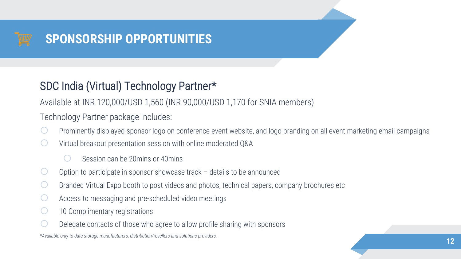## SDC India (Virtual) Technology Partner\*

Available at INR 120,000/USD 1,560 (INR 90,000/USD 1,170 for SNIA members)

Technology Partner package includes:

- Prominently displayed sponsor logo on conference event website, and logo branding on all event marketing email campaigns
- Virtual breakout presentation session with online moderated Q&A
	- Session can be 20mins or 40mins
- Option to participate in sponsor showcase track  $-$  details to be announced
- Branded Virtual Expo booth to post videos and photos, technical papers, company brochures etc
- Access to messaging and pre-scheduled video meetings
- 10 Complimentary registrations
- Delegate contacts of those who agree to allow profile sharing with sponsors

*\*Available only to data storage manufacturers, distribution/resellers and solutions providers.*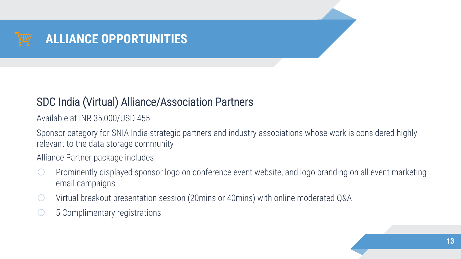

### SDC India (Virtual) Alliance/Association Partners

Available at INR 35,000/USD 455

Sponsor category for SNIA India strategic partners and industry associations whose work is considered highly relevant to the data storage community

Alliance Partner package includes:

- $\circ$  Prominently displayed sponsor logo on conference event website, and logo branding on all event marketing email campaigns
- $\circ$  Virtual breakout presentation session (20mins or 40mins) with online moderated Q&A
- $\circ$  5 Complimentary registrations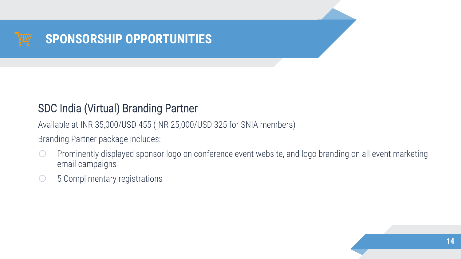

## SDC India (Virtual) Branding Partner

Available at INR 35,000/USD 455 (INR 25,000/USD 325 for SNIA members)

Branding Partner package includes:

- o Prominently displayed sponsor logo on conference event website, and logo branding on all event marketing email campaigns
- $\circ$  5 Complimentary registrations